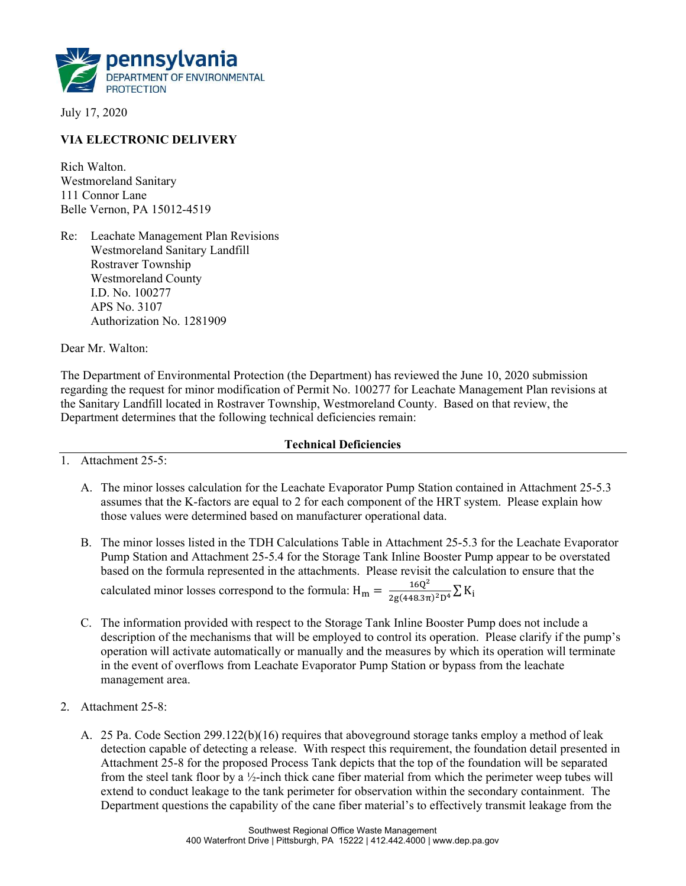

July 17, 2020

## VIA ELECTRONIC DELIVERY

Rich Walton. Westmoreland Sanitary 111 Connor Lane Belle Vernon, PA 15012-4519

Re: Leachate Management Plan Revisions Westmoreland Sanitary Landfill Rostraver Township Westmoreland County I.D. No. 100277 APS No. 3107 Authorization No. 1281909

Dear Mr. Walton:

The Department of Environmental Protection (the Department) has reviewed the June 10, 2020 submission regarding the request for minor modification of Permit No. 100277 for Leachate Management Plan revisions at the Sanitary Landfill located in Rostraver Township, Westmoreland County. Based on that review, the Department determines that the following technical deficiencies remain:

## Technical Deficiencies

1. Attachment 25-5:

- A. The minor losses calculation for the Leachate Evaporator Pump Station contained in Attachment 25-5.3 assumes that the K-factors are equal to 2 for each component of the HRT system. Please explain how those values were determined based on manufacturer operational data.
- B. The minor losses listed in the TDH Calculations Table in Attachment 25-5.3 for the Leachate Evaporator Pump Station and Attachment 25-5.4 for the Storage Tank Inline Booster Pump appear to be overstated based on the formula represented in the attachments. Please revisit the calculation to ensure that the calculated minor losses correspond to the formula:  $H_m = \frac{16Q^2}{2g(448.3\pi)^2D^4} \sum K_i$
- C. The information provided with respect to the Storage Tank Inline Booster Pump does not include a description of the mechanisms that will be employed to control its operation. Please clarify if the pump's operation will activate automatically or manually and the measures by which its operation will terminate in the event of overflows from Leachate Evaporator Pump Station or bypass from the leachate management area.
- 2. Attachment 25-8:
	- A. 25 Pa. Code Section 299.122(b)(16) requires that aboveground storage tanks employ a method of leak detection capable of detecting a release. With respect this requirement, the foundation detail presented in Attachment 25-8 for the proposed Process Tank depicts that the top of the foundation will be separated from the steel tank floor by a ½-inch thick cane fiber material from which the perimeter weep tubes will extend to conduct leakage to the tank perimeter for observation within the secondary containment. The Department questions the capability of the cane fiber material's to effectively transmit leakage from the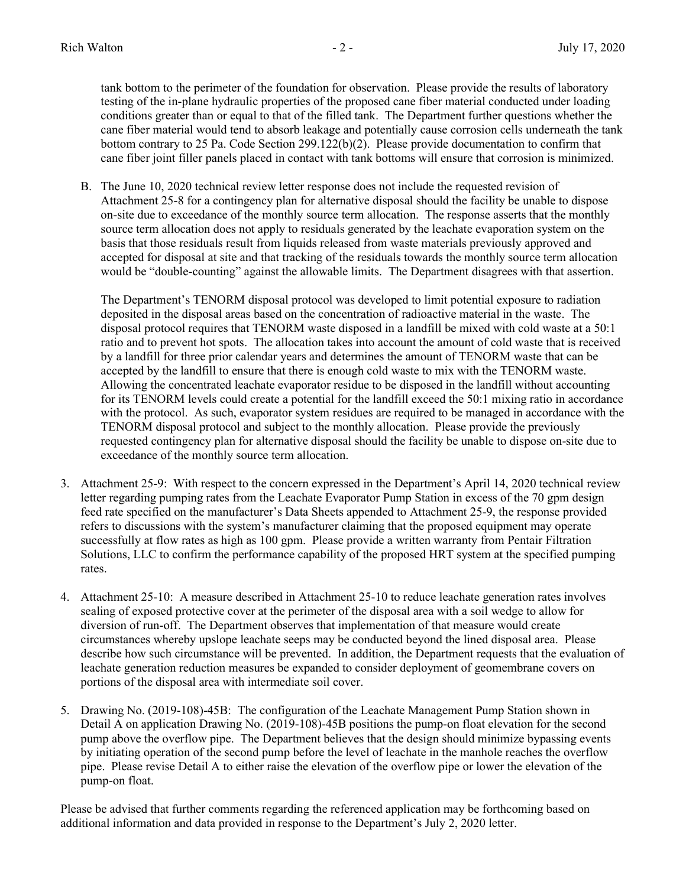tank bottom to the perimeter of the foundation for observation. Please provide the results of laboratory testing of the in-plane hydraulic properties of the proposed cane fiber material conducted under loading conditions greater than or equal to that of the filled tank. The Department further questions whether the cane fiber material would tend to absorb leakage and potentially cause corrosion cells underneath the tank bottom contrary to 25 Pa. Code Section 299.122(b)(2). Please provide documentation to confirm that cane fiber joint filler panels placed in contact with tank bottoms will ensure that corrosion is minimized.

B. The June 10, 2020 technical review letter response does not include the requested revision of Attachment 25-8 for a contingency plan for alternative disposal should the facility be unable to dispose on-site due to exceedance of the monthly source term allocation. The response asserts that the monthly source term allocation does not apply to residuals generated by the leachate evaporation system on the basis that those residuals result from liquids released from waste materials previously approved and accepted for disposal at site and that tracking of the residuals towards the monthly source term allocation would be "double-counting" against the allowable limits. The Department disagrees with that assertion.

The Department's TENORM disposal protocol was developed to limit potential exposure to radiation deposited in the disposal areas based on the concentration of radioactive material in the waste. The disposal protocol requires that TENORM waste disposed in a landfill be mixed with cold waste at a 50:1 ratio and to prevent hot spots. The allocation takes into account the amount of cold waste that is received by a landfill for three prior calendar years and determines the amount of TENORM waste that can be accepted by the landfill to ensure that there is enough cold waste to mix with the TENORM waste. Allowing the concentrated leachate evaporator residue to be disposed in the landfill without accounting for its TENORM levels could create a potential for the landfill exceed the 50:1 mixing ratio in accordance with the protocol. As such, evaporator system residues are required to be managed in accordance with the TENORM disposal protocol and subject to the monthly allocation. Please provide the previously requested contingency plan for alternative disposal should the facility be unable to dispose on-site due to exceedance of the monthly source term allocation.

- 3. Attachment 25-9: With respect to the concern expressed in the Department's April 14, 2020 technical review letter regarding pumping rates from the Leachate Evaporator Pump Station in excess of the 70 gpm design feed rate specified on the manufacturer's Data Sheets appended to Attachment 25-9, the response provided refers to discussions with the system's manufacturer claiming that the proposed equipment may operate successfully at flow rates as high as 100 gpm. Please provide a written warranty from Pentair Filtration Solutions, LLC to confirm the performance capability of the proposed HRT system at the specified pumping rates.
- 4. Attachment 25-10: A measure described in Attachment 25-10 to reduce leachate generation rates involves sealing of exposed protective cover at the perimeter of the disposal area with a soil wedge to allow for diversion of run-off. The Department observes that implementation of that measure would create circumstances whereby upslope leachate seeps may be conducted beyond the lined disposal area. Please describe how such circumstance will be prevented. In addition, the Department requests that the evaluation of leachate generation reduction measures be expanded to consider deployment of geomembrane covers on portions of the disposal area with intermediate soil cover.
- 5. Drawing No. (2019-108)-45B: The configuration of the Leachate Management Pump Station shown in Detail A on application Drawing No. (2019-108)-45B positions the pump-on float elevation for the second pump above the overflow pipe. The Department believes that the design should minimize bypassing events by initiating operation of the second pump before the level of leachate in the manhole reaches the overflow pipe. Please revise Detail A to either raise the elevation of the overflow pipe or lower the elevation of the pump-on float.

Please be advised that further comments regarding the referenced application may be forthcoming based on additional information and data provided in response to the Department's July 2, 2020 letter.